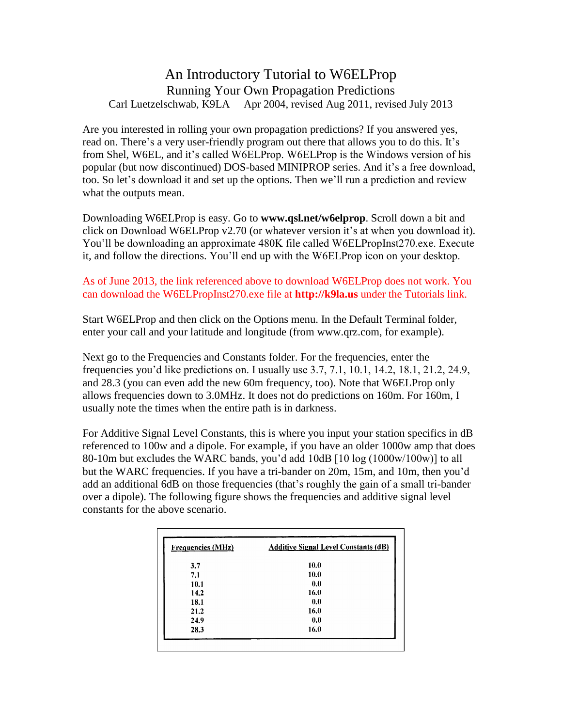## An Introductory Tutorial to W6ELProp Running Your Own Propagation Predictions Carl Luetzelschwab, K9LA Apr2004, revised Aug 2011, revised July 2013

Are you interested in rolling your own propagation predictions? If you answered yes, read on. There's a very user-friendly program out there that allows you to do this. It's from Shel, W6EL, and it's called W6ELProp. W6ELProp is the Windows version of his read on. There's a very user-friendly program out there that allows you to do this. It's<br>from Shel, W6EL, and it's called W6ELProp. W6ELProp is the Windows version of his<br>popular (but now discontinued) DOS-based MINIPROP s from Shel, W6EL, and it's called W6ELProp. W6ELProp is the Windows version of his<br>popular (but now discontinued) DOS-based MINIPROP series. And it's a free download,<br>too. So let's download it and set up the options. Then w what the outputs mean.

Downloading W6ELProp is easy. Go to **www.qsl.net/w6elprop**. Scroll down a bit and Downloading W6ELProp is easy. Go to www.qsl.net/w6elprop. Scroll down a bit and<br>click on Download W6ELProp v2.70 (or whatever version it's at when you download it). Downloading W6ELProp is easy. Go to www.qsl.net/w6elprop. Scroll down a bit and<br>click on Download W6ELProp v2.70 (or whatever version it's at when you download it).<br>You'll be downloading an approximate 480K file called W6E click on Download W6ELProp v2.70 (or whatever version it's at when you download it).<br>You'll be downloading an approximate 480K file called W6ELPropInst270.exe. Execute<br>it, and follow the directions. You'll end up with the

## As of June 2013, the link referenced above to download W6ELProp does not work. You can download the W6ELPropInst270.exe file at **http://k9la.us** under the Tutorials link.

Start W6ELProp and then click on the Options menu. In the Default Terminal folder, enter your call and your latitude and longitude (from www.qrz.com, for example).

Next go to the Frequencies and Constants folder. For the frequencies, enter the frequencies you'd like predictions on. I usually use 3.7, 7.1, 10.1, 14.2, 18.1, 21.2, 24.9, and 28.3 (you can even add the new 60m frequency, too). Note that W6ELProp only allows frequencies down to 3.0MHz. It does not do predictions on 160m. For 160m, I usually note the times when the entire path is in darkness.

For Additive Signal Level Constants, this is where you input your station specifics in dB referenced to 100w and a dipole. For example, if you have an older 1000w amp that does For Additive Signal Level Constants, this is where you input your station specifics in dB<br>referenced to 100w and a dipole. For example, if you have an older 1000w amp that does<br>80-10m but excludes the WARC bands, you'd add referenced to 100w and a dipole. For example, if you have an older 1000w amp that does<br>80-10m but excludes the WARC bands, you'd add 10dB [10 log (1000w/100w)] to all<br>but the WARC frequencies. If you have a tri-bander on 2 80-10m but excludes the WARC bands, you'd add 10dB [10 log (1000w/100w)] to all<br>but the WARC frequencies. If you have a tri-bander on 20m, 15m, and 10m, then you'd<br>add an additional 6dB on those frequencies (that's roughly over a dipole). The following figure shows the frequencies and additive signal level constants for the above scenario.

| <b>Frequencies (MHz)</b> | <b>Additive Signal Level Constants (dB)</b> |
|--------------------------|---------------------------------------------|
| 3.7                      | 10.0                                        |
| 7.1                      | 10.0                                        |
| 10.1                     | 0.0                                         |
| 14.2                     | 16.0                                        |
| 18.1                     | 0.0                                         |
| 21.2                     | 16.0                                        |
| 24.9                     | 0.0                                         |
| 28.3                     | 16.0                                        |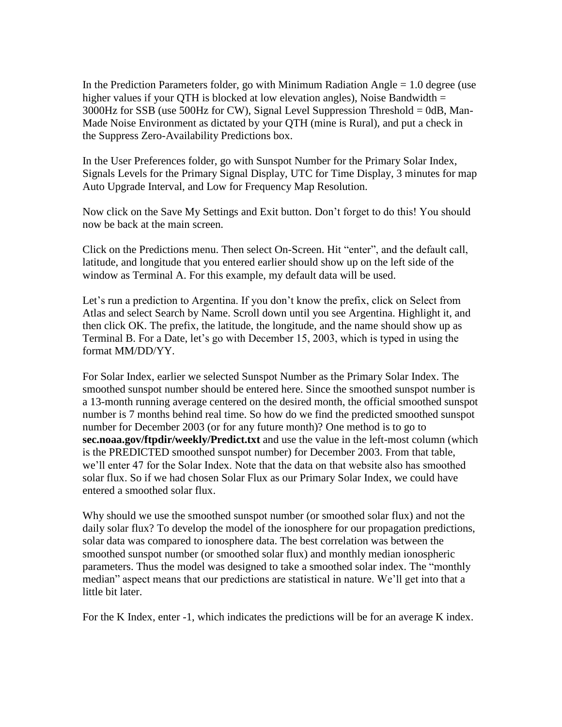In the Prediction Parameters folder, go with Minimum Radiation Angle  $= 1.0$  degree (use higher values if your QTH is blocked at low elevation angles), Noise Bandwidth  $=$ 3000Hz for SSB (use 500Hz for CW), Signal Level Suppression Threshold = 0dB, Man- Made Noise Environment as dictated by your QTH (mine is Rural), and put a check in the Suppress Zero-Availability Predictions box.

In the User Preferences folder, go with Sunspot Number for the Primary Solar Index, Signals Levels for the Primary Signal Display, UTC for Time Display, 3 minutes for map Auto Upgrade Interval, and Low for Frequency Map Resolution.

Now click on the Save My Settings and Exit button. Don't forget to do this! You should now be back at the main screen.

Click on the Predictions menu. Then select On-Screen. Hit "enter", and the default call, latitude, and longitude that you entered earlier should show up on the left side of the window as Terminal A. For this example, my default data will be used.

Let's run a prediction to Argentina. If you don't know the prefix, click on Select from Atlas and select Search by Name. Scroll down until you see Argentina. Highlight it, and then click OK. The prefix, the latitude, the longitude, and the name should show up as Terminal B. For a Date, let's go with December then click OK. The prefix, the latitude, the longitude, and the name should show up as format MM/DD/YY.

For Solar Index, earlier we selected Sunspot Number as the Primary Solar Index. The smoothed sunspot number should be entered here. Since the smoothed sunspot number is a 13-month running average centered on the desired month, the official smoothed sunspot number is 7 months behind real time. So how do we find the predicted smoothed sunspot number for December 2003 (or for any future month)? One method is to go to sec.noaa.gov/ftpdir/weekly/Predict.txt and use the value in the left-most column (which is the PREDICTED smoothed sunspot number) for December 2003. From that table, we'll enter 47 for the Solar Index. Note that the data o is the PREDICTED smoothed sunspot number) for December 2003. From that table, solar flux. So if we had chosen Solar Flux as our Primary Solar Index, we could have entered a smoothed solar flux.

Why should we use the smoothed sunspot number (or smoothed solar flux) and not the daily solar flux? To develop the model of the ionosphere for our propagation predictions, solar data was compared to ionosphere data. The best correlation was between the smoothed sunspot number (or smoothed solar flux) and monthly median ionospheric parameters. Thus the model was designed to take a smoothed solar index. The "monthly" median" aspect means that our predictions are statistical in nature. We'll get into that a little bit later.

For the K Index, enter -1, which indicates the predictions will be for an average K index.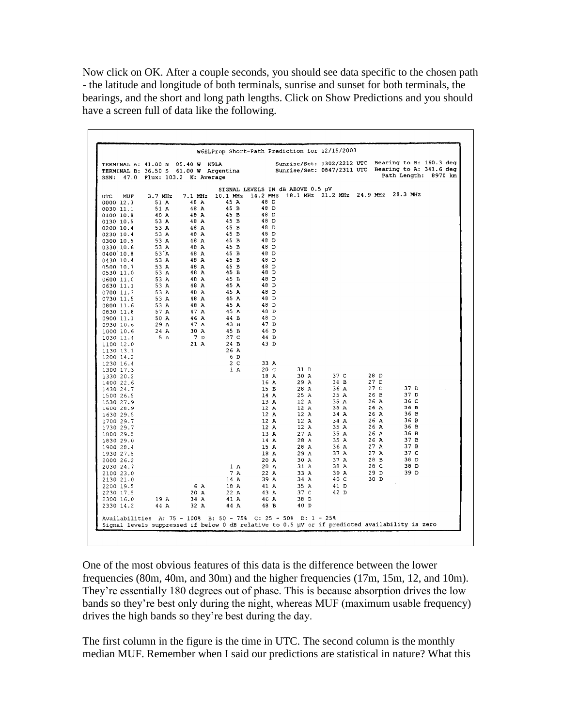Now click on OK. After a couple seconds, you should see data specific to the chosen path - the latitude and longitude of both terminals, sunrise and sunset for both terminals, the bearings, and the short and long path lengths. Click on Show Predictions and you should have a screen full of data like the following.

| TERMINAL A: 41.00 N 85.40 W K9LA<br>TERMINAL B: 36.50 S 61.00 W Argentina<br>SSN: 47.0 Flux: 103.2 K: Average |                        |                   |                       |                                              |             | Sunrise/Set: 0847/2311 UTC          |              | Sunrise/Set: 1302/2212 UTC Bearing to B: 160.3 deg<br>Bearing to A: 341.6 deg<br>Path Length: 8970 km |  |
|---------------------------------------------------------------------------------------------------------------|------------------------|-------------------|-----------------------|----------------------------------------------|-------------|-------------------------------------|--------------|-------------------------------------------------------------------------------------------------------|--|
|                                                                                                               |                        |                   |                       | SIGNAL LEVELS IN dB ABOVE 0.5 µV<br>14.2 MHz |             | 18.1 MHz 21.2 MHz 24.9 MHz 28.3 MHz |              |                                                                                                       |  |
| <b>UTC</b><br>MUF<br>0000 12.3                                                                                | 3.7 MHz<br>51 A        | $7.1$ MHz<br>48 A | 10.1 MHz<br>45 A      | 48 D                                         |             |                                     |              |                                                                                                       |  |
| 0030 11.1                                                                                                     | 51 A                   | 48 A              | 45 B                  | 48 D                                         |             |                                     |              |                                                                                                       |  |
| 0100 10.8                                                                                                     | 40 A                   | 48 A              | 45 B                  | 48 D                                         |             |                                     |              |                                                                                                       |  |
| 0130 10.5                                                                                                     | 53 A                   | 48 A              | 45 B                  | 48 D                                         |             |                                     |              |                                                                                                       |  |
| 0200 10.4                                                                                                     | 53 A                   | 48 A              | 45 B                  | 48 D                                         |             |                                     |              |                                                                                                       |  |
| 0230 10.4                                                                                                     | 53 A                   | 48 A              | 45 B                  | 48 D                                         |             |                                     |              |                                                                                                       |  |
| 0300 10.5                                                                                                     | 53 A                   | 48 A<br>48 A      | 45 B<br>45 B          | 48 D<br>48 D                                 |             |                                     |              |                                                                                                       |  |
| 0330 10.6<br>0400 10.8                                                                                        | 53 A<br>$53^{\circ}$ A | 48 A              | 45 B                  | 48 D                                         |             |                                     |              |                                                                                                       |  |
| 0430 10.4                                                                                                     | 53 A                   | 48 A              | 45 B                  | 48 D                                         |             |                                     |              |                                                                                                       |  |
| 0500 10.7                                                                                                     | 53 A                   | 48 A              | 45 B                  | 48 D                                         |             |                                     |              |                                                                                                       |  |
| 0530 11.0                                                                                                     | 53 A                   | 48 A              | 45 B                  | 48 D                                         |             |                                     |              |                                                                                                       |  |
| 0600 11.0                                                                                                     | 53 A                   | 48 A              | 45 B                  | 48 D                                         |             |                                     |              |                                                                                                       |  |
| 0630 11.1                                                                                                     | 53 A                   | 48 A              | 45 A                  | 48 D                                         |             |                                     |              |                                                                                                       |  |
| 0700 11.3                                                                                                     | 53 A                   | 48 A              | 45 A                  | 48 D                                         |             |                                     |              |                                                                                                       |  |
| 0730 11.5<br>0800 11.6                                                                                        | 53 A<br>53 A           | 48 A<br>48 A      | 45 A<br>45 A          | 48 D<br>48 D                                 |             |                                     |              |                                                                                                       |  |
| 0830 11.8                                                                                                     | 57 A                   | 47 A              | 45 A                  | 48 D                                         |             |                                     |              |                                                                                                       |  |
| 0900 11.1                                                                                                     | 50 A                   | 46 A              | 44 B                  | 48 D                                         |             |                                     |              |                                                                                                       |  |
| 0930 10.6                                                                                                     | 29 A                   | 47 A              | 43 B                  | 47 D                                         |             |                                     |              |                                                                                                       |  |
| 1000 10.6                                                                                                     | 24 A                   | 30 A              | 45 B                  | 46 D                                         |             |                                     |              |                                                                                                       |  |
| 1030 11.4                                                                                                     | 5 A                    | 7 D               | 27 <sub>c</sub>       | 44 D                                         |             |                                     |              |                                                                                                       |  |
| 1100 12.0                                                                                                     |                        | 21 A              | 24 B                  | 43 D                                         |             |                                     |              |                                                                                                       |  |
| 1130 13.1                                                                                                     |                        |                   | 26 A                  |                                              |             |                                     |              |                                                                                                       |  |
| 1200 14.2<br>1230 16.4                                                                                        |                        |                   | 6 D<br>2 <sub>c</sub> | 33 A                                         |             |                                     |              |                                                                                                       |  |
| 1300 17.3                                                                                                     |                        |                   | 1A                    | 20C                                          | 31 D        |                                     |              |                                                                                                       |  |
| 1330 20.2                                                                                                     |                        |                   |                       | 18 A                                         | 30 A        | 37 C                                | 28 D         |                                                                                                       |  |
| 1400 22.6                                                                                                     |                        |                   |                       | 16A                                          | 29 A        | 36 B                                | 27 D         |                                                                                                       |  |
| 1430 24.7                                                                                                     |                        |                   |                       | 15 B                                         | 28 A        | 36 A                                | 27C          | 37 D                                                                                                  |  |
| 1500 26.5                                                                                                     |                        |                   |                       | 14 A                                         | 25 A        | 35 A                                | 26 B         | 37 D                                                                                                  |  |
| 1530 27.9                                                                                                     |                        |                   |                       | 13 A                                         | 12A<br>12 A | 35 A<br>35 A                        | 26 A<br>26 A | 36 C<br>36B                                                                                           |  |
| 1600 28.9<br>1630 29.5                                                                                        |                        |                   |                       | 12 A<br>12 A                                 | 12A         | 34 A                                | 26 A         | 36 B                                                                                                  |  |
| 1700 29.7                                                                                                     |                        |                   |                       | 12 A                                         | 12 A        | 34 A                                | 26 A         | 36 B                                                                                                  |  |
| 1730 29.7                                                                                                     |                        |                   |                       | 12A                                          | 12A         | 35 A                                | 26 A         | 36 B                                                                                                  |  |
| 1800 29.5                                                                                                     |                        |                   |                       | 13 A                                         | 27 A        | 35 A                                | 26 A         | 36 B                                                                                                  |  |
| 1830 29.0                                                                                                     |                        |                   |                       | 14 A                                         | 28 A        | 35 A                                | 26 A         | 37B                                                                                                   |  |
| 1900 28.4                                                                                                     |                        |                   |                       | 15 A                                         | 28 A        | 36 A                                | 27 A         | 37 B                                                                                                  |  |
| 1930 27.5                                                                                                     |                        |                   |                       | 18 A                                         | 29 A        | 37 A                                | 27A          | 37 C                                                                                                  |  |
| 2000 26.2                                                                                                     |                        |                   | 1A                    | 20 A<br>20 A                                 | 30 A<br>31A | 37 A<br>38 A                        | 28 B<br>28 C | 38 D<br>38 D                                                                                          |  |
| 2030 24.7<br>2100 23.0                                                                                        |                        |                   | 7 A                   | 22 A                                         | 33 A        | 39 A                                | 29 D         | 39 D                                                                                                  |  |
| 2130 21.0                                                                                                     |                        |                   | 14 A                  | 39 A                                         | 34 A        | 40 C                                | 30 D         |                                                                                                       |  |
| 2200 19.5                                                                                                     |                        | 6 A               | 18 A                  | 41 A                                         | 35 A        | 41 D                                |              |                                                                                                       |  |
| 2230 17.5                                                                                                     |                        | 20 A              | 22 A                  | 43 A                                         | 37 C        | 42 D                                |              |                                                                                                       |  |
| 2300 16.0                                                                                                     | 19A                    | 34 A              | 41 A                  | 46 A                                         | 38 D        |                                     |              |                                                                                                       |  |
| 2330 14.2                                                                                                     | 44 A                   | 32 A              | 44 A                  | 48 B                                         | 40 D        |                                     |              |                                                                                                       |  |

One of the most obvious features of this data is the difference between the lower frequencies (80m, 40m, and 30m) and the higher frequencies (17m, 15m, 12, and 10m). They're essentially 180 degrees out of phase. This is because absorption drives the low frequencies (80m, 40m, and 30m) and the higher frequencies (17m, 15m, 12, and 10m).<br>They're essentially 180 degrees out of phase. This is because absorption drives the low<br>bands so they're best only during the night, where They're essentially 180 degrees out of phase. This is bec<br>bands so they're best only during the night, whereas MU<br>drives the high bands so they're best during the day.

The first column in the figure is the time in UTC. The second column is the monthly median MUF. Remember when I said our predictions are statistical in nature? What this